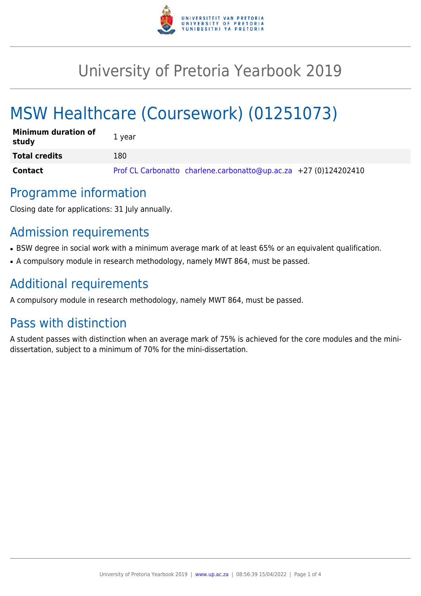

# University of Pretoria Yearbook 2019

# MSW Healthcare (Coursework) (01251073)

| <b>Minimum duration of</b><br>study | 1 year                                                           |
|-------------------------------------|------------------------------------------------------------------|
| <b>Total credits</b>                | 180                                                              |
| <b>Contact</b>                      | Prof CL Carbonatto charlene.carbonatto@up.ac.za +27 (0)124202410 |

## Programme information

Closing date for applications: 31 July annually.

# Admission requirements

- BSW degree in social work with a minimum average mark of at least 65% or an equivalent qualification.
- A compulsory module in research methodology, namely MWT 864, must be passed.

# Additional requirements

A compulsory module in research methodology, namely MWT 864, must be passed.

# Pass with distinction

A student passes with distinction when an average mark of 75% is achieved for the core modules and the minidissertation, subject to a minimum of 70% for the mini-dissertation.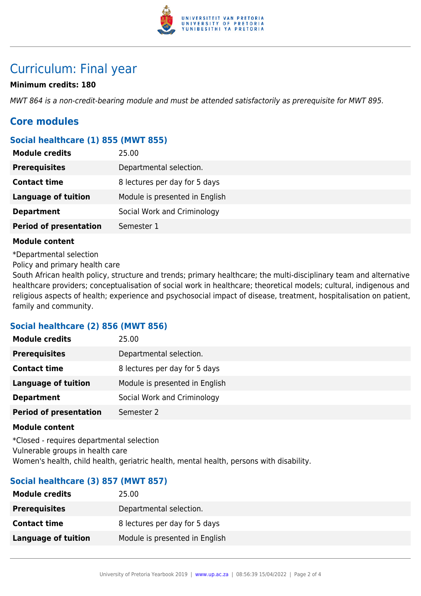

# Curriculum: Final year

### **Minimum credits: 180**

MWT 864 is a non-credit-bearing module and must be attended satisfactorily as prerequisite for MWT 895.

### **Core modules**

### **Social healthcare (1) 855 (MWT 855)**

| <b>Module credits</b>         | 25.00                          |
|-------------------------------|--------------------------------|
| <b>Prerequisites</b>          | Departmental selection.        |
| <b>Contact time</b>           | 8 lectures per day for 5 days  |
| <b>Language of tuition</b>    | Module is presented in English |
| <b>Department</b>             | Social Work and Criminology    |
| <b>Period of presentation</b> | Semester 1                     |

#### **Module content**

\*Departmental selection

Policy and primary health care

South African health policy, structure and trends; primary healthcare; the multi-disciplinary team and alternative healthcare providers; conceptualisation of social work in healthcare; theoretical models; cultural, indigenous and religious aspects of health; experience and psychosocial impact of disease, treatment, hospitalisation on patient, family and community.

#### **Social healthcare (2) 856 (MWT 856)**

| 25.00                          |
|--------------------------------|
| Departmental selection.        |
| 8 lectures per day for 5 days  |
| Module is presented in English |
| Social Work and Criminology    |
| Semester 2                     |
|                                |

#### **Module content**

\*Closed - requires departmental selection Vulnerable groups in health care Women's health, child health, geriatric health, mental health, persons with disability.

### **Social healthcare (3) 857 (MWT 857)**

| 25.00                          |
|--------------------------------|
| Departmental selection.        |
| 8 lectures per day for 5 days  |
| Module is presented in English |
|                                |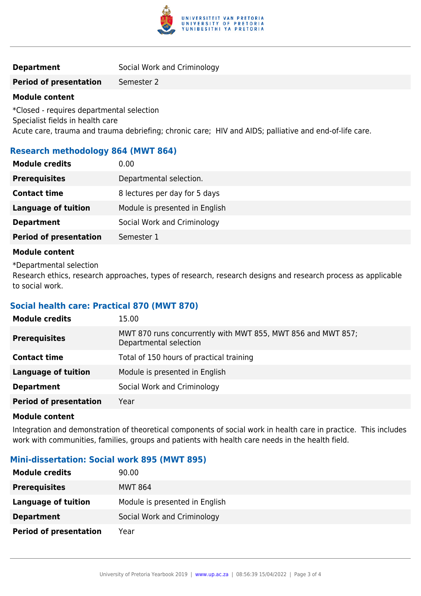

#### **Period of presentation** Semester 2

#### **Module content**

\*Closed - requires departmental selection Specialist fields in health care Acute care, trauma and trauma debriefing; chronic care; HIV and AIDS; palliative and end-of-life care.

### **Research methodology 864 (MWT 864)**

| <b>Prerequisites</b><br>Departmental selection.<br><b>Contact time</b><br>8 lectures per day for 5 days<br>Module is presented in English<br><b>Language of tuition</b><br>Social Work and Criminology<br><b>Department</b><br><b>Period of presentation</b><br>Semester 1 | <b>Module credits</b> | 0.00 |
|----------------------------------------------------------------------------------------------------------------------------------------------------------------------------------------------------------------------------------------------------------------------------|-----------------------|------|
|                                                                                                                                                                                                                                                                            |                       |      |
|                                                                                                                                                                                                                                                                            |                       |      |
|                                                                                                                                                                                                                                                                            |                       |      |
|                                                                                                                                                                                                                                                                            |                       |      |
|                                                                                                                                                                                                                                                                            |                       |      |

#### **Module content**

\*Departmental selection

Research ethics, research approaches, types of research, research designs and research process as applicable to social work.

#### **Social health care: Practical 870 (MWT 870)**

| <b>Module credits</b>         | 15.00                                                                                  |
|-------------------------------|----------------------------------------------------------------------------------------|
| <b>Prerequisites</b>          | MWT 870 runs concurrently with MWT 855, MWT 856 and MWT 857;<br>Departmental selection |
| <b>Contact time</b>           | Total of 150 hours of practical training                                               |
| <b>Language of tuition</b>    | Module is presented in English                                                         |
| <b>Department</b>             | Social Work and Criminology                                                            |
| <b>Period of presentation</b> | Year                                                                                   |

#### **Module content**

Integration and demonstration of theoretical components of social work in health care in practice. This includes work with communities, families, groups and patients with health care needs in the health field.

#### **Mini-dissertation: Social work 895 (MWT 895)**

| <b>Module credits</b>         | 90.00                          |
|-------------------------------|--------------------------------|
| <b>Prerequisites</b>          | <b>MWT 864</b>                 |
| Language of tuition           | Module is presented in English |
| <b>Department</b>             | Social Work and Criminology    |
| <b>Period of presentation</b> | Year                           |